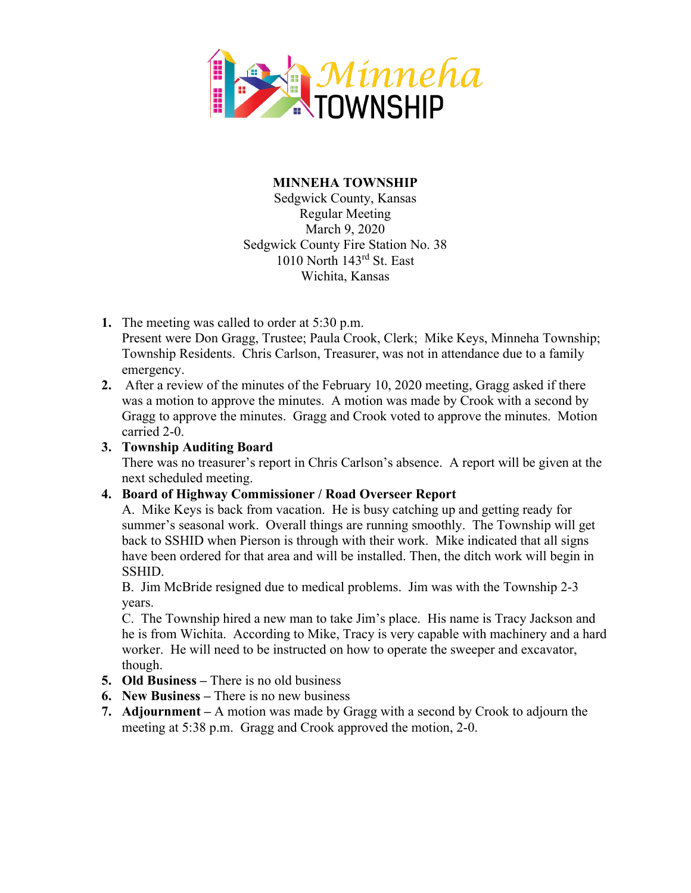

## **MINNEHA TOWNSHIP**

Sedgwick County, Kansas Regular Meeting March 9, 2020 Sedgwick County Fire Station No. 38 1010 North 143rd St. East Wichita, Kansas

- **1.** The meeting was called to order at 5:30 p.m. Present were Don Gragg, Trustee; Paula Crook, Clerk; Mike Keys, Minneha Township; Township Residents. Chris Carlson, Treasurer, was not in attendance due to a family emergency.
- **2.** After a review of the minutes of the February 10, 2020 meeting, Gragg asked if there was a motion to approve the minutes. A motion was made by Crook with a second by Gragg to approve the minutes. Gragg and Crook voted to approve the minutes. Motion carried 2-0.

## **3. Township Auditing Board**

There was no treasurer's report in Chris Carlson's absence. A report will be given at the next scheduled meeting.

## **4. Board of Highway Commissioner / Road Overseer Report**

A. Mike Keys is back from vacation. He is busy catching up and getting ready for summer's seasonal work. Overall things are running smoothly. The Township will get back to SSHID when Pierson is through with their work. Mike indicated that all signs have been ordered for that area and will be installed. Then, the ditch work will begin in SSHID.

B. Jim McBride resigned due to medical problems. Jim was with the Township 2-3 years.

C. The Township hired a new man to take Jim's place. His name is Tracy Jackson and he is from Wichita. According to Mike, Tracy is very capable with machinery and a hard worker. He will need to be instructed on how to operate the sweeper and excavator, though.

- **5. Old Business –** There is no old business
- **6. New Business –** There is no new business
- **7. Adjournment –** A motion was made by Gragg with a second by Crook to adjourn the meeting at 5:38 p.m. Gragg and Crook approved the motion, 2-0.